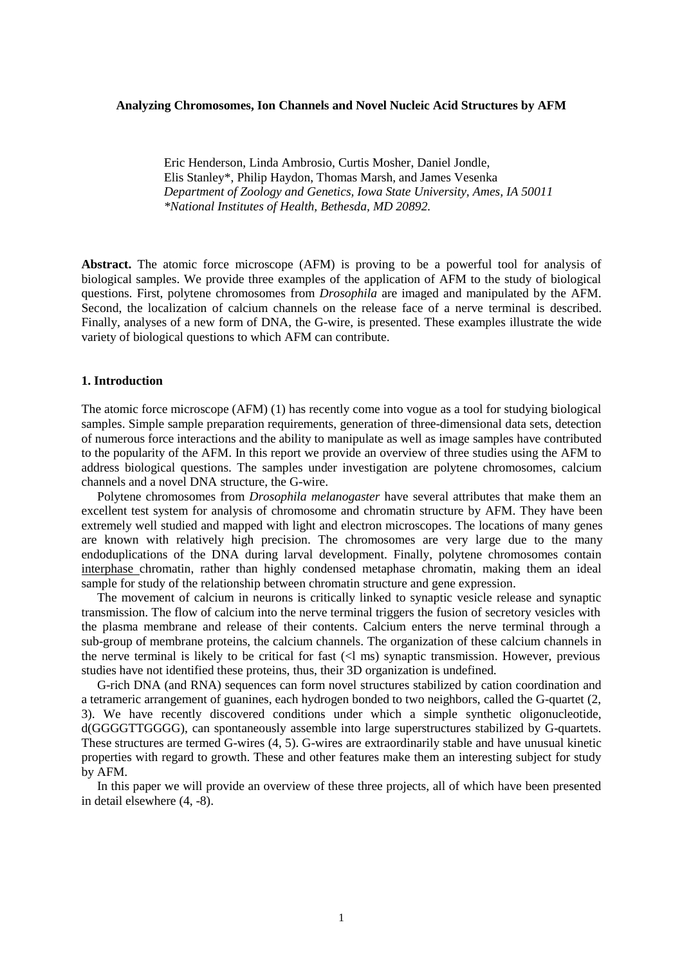### **Analyzing Chromosomes, Ion Channels and Novel Nucleic Acid Structures by AFM**

Eric Henderson, Linda Ambrosio, Curtis Mosher, Daniel Jondle, Elis Stanley\*, Philip Haydon, Thomas Marsh, and James Vesenka *Department of Zoology and Genetics, Iowa State University, Ames, IA 50011 \*National Institutes of Health, Bethesda, MD 20892.*

**Abstract.** The atomic force microscope (AFM) is proving to be a powerful tool for analysis of biological samples. We provide three examples of the application of AFM to the study of biological questions. First, polytene chromosomes from *Drosophila* are imaged and manipulated by the AFM. Second, the localization of calcium channels on the release face of a nerve terminal is described. Finally, analyses of a new form of DNA, the G-wire, is presented. These examples illustrate the wide variety of biological questions to which AFM can contribute.

### **1. Introduction**

The atomic force microscope (AFM) (1) has recently come into vogue as a tool for studying biological samples. Simple sample preparation requirements, generation of three-dimensional data sets, detection of numerous force interactions and the ability to manipulate as well as image samples have contributed to the popularity of the AFM. In this report we provide an overview of three studies using the AFM to address biological questions. The samples under investigation are polytene chromosomes, calcium channels and a novel DNA structure, the G-wire.

 Polytene chromosomes from *Drosophila melanogaster* have several attributes that make them an excellent test system for analysis of chromosome and chromatin structure by AFM. They have been extremely well studied and mapped with light and electron microscopes. The locations of many genes are known with relatively high precision. The chromosomes are very large due to the many endoduplications of the DNA during larval development. Finally, polytene chromosomes contain interphase chromatin, rather than highly condensed metaphase chromatin, making them an ideal sample for study of the relationship between chromatin structure and gene expression.

 The movement of calcium in neurons is critically linked to synaptic vesicle release and synaptic transmission. The flow of calcium into the nerve terminal triggers the fusion of secretory vesicles with the plasma membrane and release of their contents. Calcium enters the nerve terminal through a sub-group of membrane proteins, the calcium channels. The organization of these calcium channels in the nerve terminal is likely to be critical for fast (<l ms) synaptic transmission. However, previous studies have not identified these proteins, thus, their 3D organization is undefined.

 G-rich DNA (and RNA) sequences can form novel structures stabilized by cation coordination and a tetrameric arrangement of guanines, each hydrogen bonded to two neighbors, called the G-quartet (2, 3). We have recently discovered conditions under which a simple synthetic oligonucleotide, d(GGGGTTGGGG), can spontaneously assemble into large superstructures stabilized by G-quartets. These structures are termed G-wires (4, 5). G-wires are extraordinarily stable and have unusual kinetic properties with regard to growth. These and other features make them an interesting subject for study by AFM.

 In this paper we will provide an overview of these three projects, all of which have been presented in detail elsewhere (4, -8).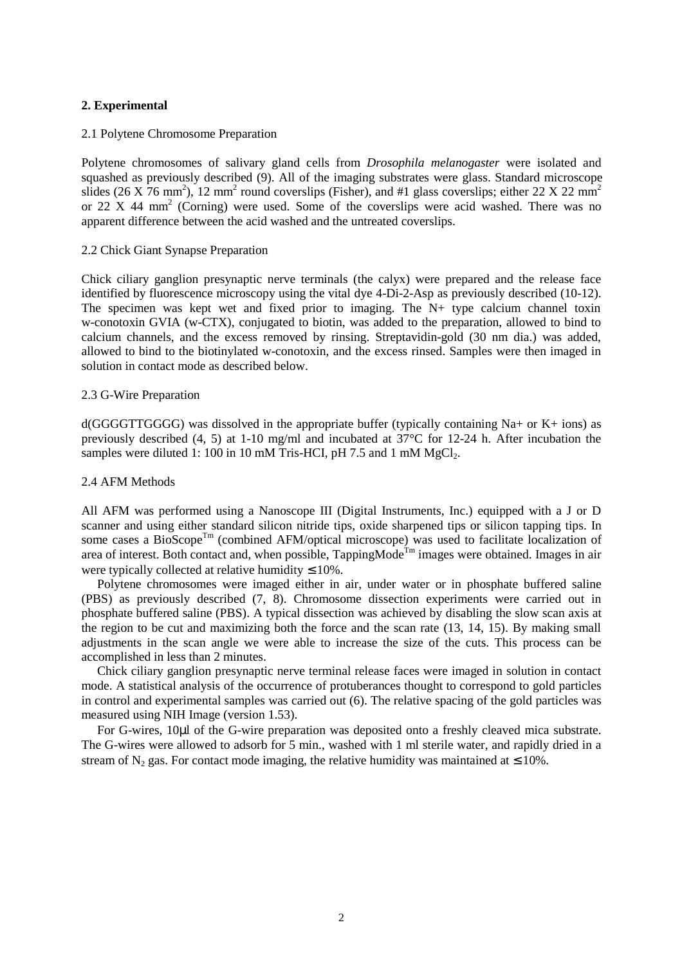# **2. Experimental**

# 2.1 Polytene Chromosome Preparation

Polytene chromosomes of salivary gland cells from *Drosophila melanogaster* were isolated and squashed as previously described (9). All of the imaging substrates were glass. Standard microscope slides (26 X 76 mm<sup>2</sup>), 12 mm<sup>2</sup> round coverslips (Fisher), and #1 glass coverslips; either 22 X 22 mm<sup>2</sup> or 22 X 44 mm<sup>2</sup> (Corning) were used. Some of the coverslips were acid washed. There was no apparent difference between the acid washed and the untreated coverslips.

### 2.2 Chick Giant Synapse Preparation

Chick ciliary ganglion presynaptic nerve terminals (the calyx) were prepared and the release face identified by fluorescence microscopy using the vital dye 4-Di-2-Asp as previously described (10-12). The specimen was kept wet and fixed prior to imaging. The  $N<sub>+</sub>$  type calcium channel toxin w-conotoxin GVIA (w-CTX), conjugated to biotin, was added to the preparation, allowed to bind to calcium channels, and the excess removed by rinsing. Streptavidin-gold (30 nm dia.) was added, allowed to bind to the biotinylated w-conotoxin, and the excess rinsed. Samples were then imaged in solution in contact mode as described below.

### 2.3 G-Wire Preparation

d(GGGGTTGGGG) was dissolved in the appropriate buffer (typically containing Na+ or K+ ions) as previously described (4, 5) at 1-10 mg/ml and incubated at 37°C for 12-24 h. After incubation the samples were diluted 1: 100 in 10 mM Tris-HCI, pH 7.5 and 1 mM  $MgCl<sub>2</sub>$ .

# 2.4 AFM Methods

All AFM was performed using a Nanoscope III (Digital Instruments, Inc.) equipped with a J or D scanner and using either standard silicon nitride tips, oxide sharpened tips or silicon tapping tips. In some cases a BioScope<sup>Tm</sup> (combined AFM/optical microscope) was used to facilitate localization of area of interest. Both contact and, when possible,  $TappingMode^{Tm}$  images were obtained. Images in air were typically collected at relative humidity  $\leq 10\%$ .

 Polytene chromosomes were imaged either in air, under water or in phosphate buffered saline (PBS) as previously described (7, 8). Chromosome dissection experiments were carried out in phosphate buffered saline (PBS). A typical dissection was achieved by disabling the slow scan axis at the region to be cut and maximizing both the force and the scan rate (13, 14, 15). By making small adjustments in the scan angle we were able to increase the size of the cuts. This process can be accomplished in less than 2 minutes.

 Chick ciliary ganglion presynaptic nerve terminal release faces were imaged in solution in contact mode. A statistical analysis of the occurrence of protuberances thought to correspond to gold particles in control and experimental samples was carried out (6). The relative spacing of the gold particles was measured using NIH Image (version 1.53).

 For G-wires, 10µl of the G-wire preparation was deposited onto a freshly cleaved mica substrate. The G-wires were allowed to adsorb for 5 min., washed with 1 ml sterile water, and rapidly dried in a stream of N<sub>2</sub> gas. For contact mode imaging, the relative humidity was maintained at  $\leq 10\%$ .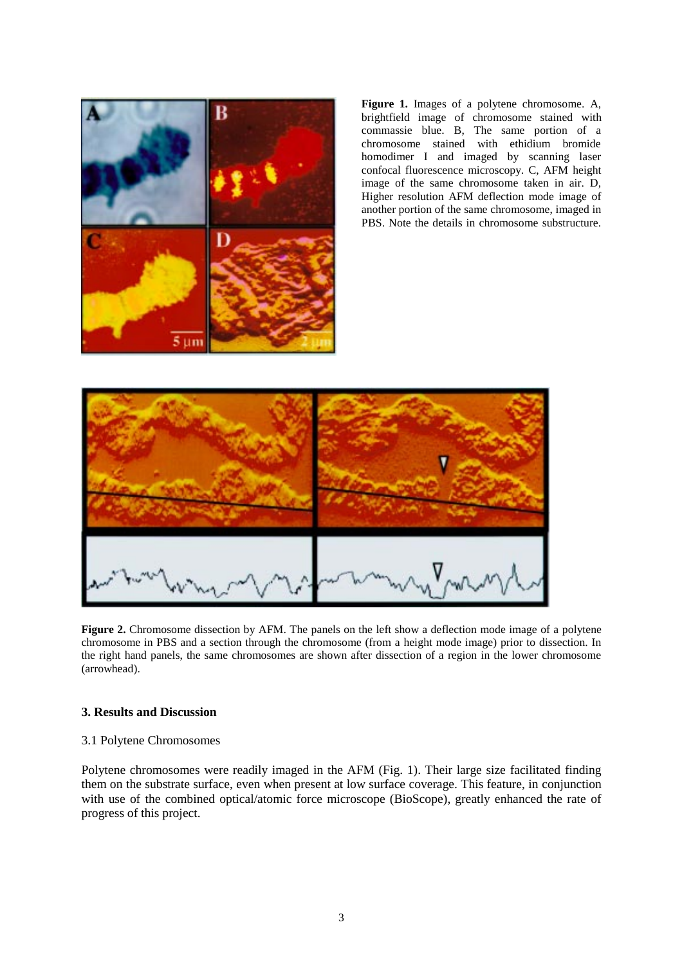

**Figure 1.** Images of a polytene chromosome. A, brightfield image of chromosome stained with commassie blue. B, The same portion of a chromosome stained with ethidium bromide homodimer I and imaged by scanning laser confocal fluorescence microscopy. C, AFM height image of the same chromosome taken in air. D, Higher resolution AFM deflection mode image of another portion of the same chromosome, imaged in PBS. Note the details in chromosome substructure.



**Figure 2.** Chromosome dissection by AFM. The panels on the left show a deflection mode image of a polytene chromosome in PBS and a section through the chromosome (from a height mode image) prior to dissection. In the right hand panels, the same chromosomes are shown after dissection of a region in the lower chromosome (arrowhead).

# **3. Results and Discussion**

# 3.1 Polytene Chromosomes

Polytene chromosomes were readily imaged in the AFM (Fig. 1). Their large size facilitated finding them on the substrate surface, even when present at low surface coverage. This feature, in conjunction with use of the combined optical/atomic force microscope (BioScope), greatly enhanced the rate of progress of this project.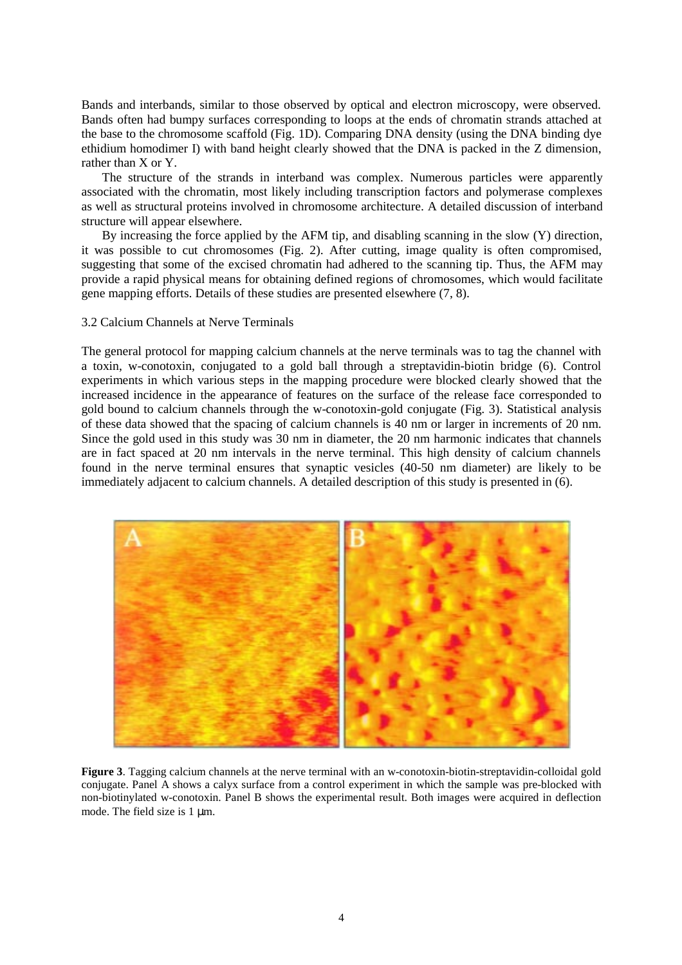Bands and interbands, similar to those observed by optical and electron microscopy, were observed. Bands often had bumpy surfaces corresponding to loops at the ends of chromatin strands attached at the base to the chromosome scaffold (Fig. 1D). Comparing DNA density (using the DNA binding dye ethidium homodimer I) with band height clearly showed that the DNA is packed in the Z dimension, rather than X or Y.

The structure of the strands in interband was complex. Numerous particles were apparently associated with the chromatin, most likely including transcription factors and polymerase complexes as well as structural proteins involved in chromosome architecture. A detailed discussion of interband structure will appear elsewhere.

By increasing the force applied by the AFM tip, and disabling scanning in the slow (Y) direction, it was possible to cut chromosomes (Fig. 2). After cutting, image quality is often compromised, suggesting that some of the excised chromatin had adhered to the scanning tip. Thus, the AFM may provide a rapid physical means for obtaining defined regions of chromosomes, which would facilitate gene mapping efforts. Details of these studies are presented elsewhere (7, 8).

### 3.2 Calcium Channels at Nerve Terminals

The general protocol for mapping calcium channels at the nerve terminals was to tag the channel with a toxin, w-conotoxin, conjugated to a gold ball through a streptavidin-biotin bridge (6). Control experiments in which various steps in the mapping procedure were blocked clearly showed that the increased incidence in the appearance of features on the surface of the release face corresponded to gold bound to calcium channels through the w-conotoxin-gold conjugate (Fig. 3). Statistical analysis of these data showed that the spacing of calcium channels is 40 nm or larger in increments of 20 nm. Since the gold used in this study was 30 nm in diameter, the 20 nm harmonic indicates that channels are in fact spaced at 20 nm intervals in the nerve terminal. This high density of calcium channels found in the nerve terminal ensures that synaptic vesicles (40-50 nm diameter) are likely to be immediately adjacent to calcium channels. A detailed description of this study is presented in (6).



**Figure 3.** Tagging calcium channels at the nerve terminal with an w-conotoxin-biotin-streptavidin-colloidal gold conjugate. Panel A shows a calyx surface from a control experiment in which the sample was pre-blocked with non-biotinylated w-conotoxin. Panel B shows the experimental result. Both images were acquired in deflection mode. The field size is 1 um.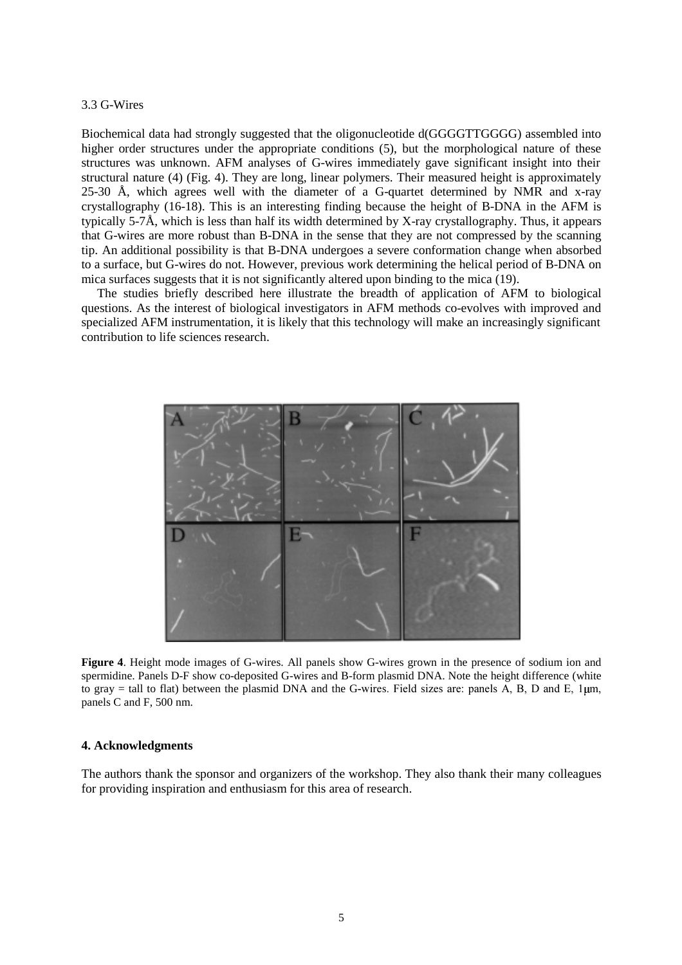#### 3.3 G-Wires

Biochemical data had strongly suggested that the oligonucleotide d(GGGGTTGGGG) assembled into higher order structures under the appropriate conditions (5), but the morphological nature of these structures was unknown. AFM analyses of G-wires immediately gave significant insight into their structural nature (4) (Fig. 4). They are long, linear polymers. Their measured height is approximately 25-30 Å, which agrees well with the diameter of a G-quartet determined by NMR and x-ray crystallography (16-18). This is an interesting finding because the height of B-DNA in the AFM is typically 5-7Å, which is less than half its width determined by X-ray crystallography. Thus, it appears that G-wires are more robust than B-DNA in the sense that they are not compressed by the scanning tip. An additional possibility is that B-DNA undergoes a severe conformation change when absorbed to a surface, but G-wires do not. However, previous work determining the helical period of B-DNA on mica surfaces suggests that it is not significantly altered upon binding to the mica (19).

 The studies briefly described here illustrate the breadth of application of AFM to biological questions. As the interest of biological investigators in AFM methods co-evolves with improved and specialized AFM instrumentation, it is likely that this technology will make an increasingly significant contribution to life sciences research.



**Figure 4**. Height mode images of G-wires. All panels show G-wires grown in the presence of sodium ion and spermidine. Panels D-F show co-deposited G-wires and B-form plasmid DNA. Note the height difference (white to gray = tall to flat) between the plasmid DNA and the G-wires. Field sizes are: panels A, B, D and E,  $1 \mu m$ , panels C and F, 500 nm.

#### **4. Acknowledgments**

The authors thank the sponsor and organizers of the workshop. They also thank their many colleagues for providing inspiration and enthusiasm for this area of research.